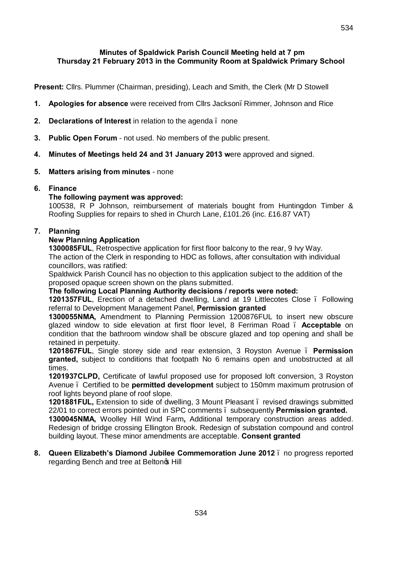**Present:** Cllrs. Plummer (Chairman, presiding), Leach and Smith, the Clerk (Mr D Stowell

- **1. Apologies for absence** were received from Cllrs Jackson, Rimmer, Johnson and Rice
- **2. Declarations of Interest** in relation to the agenda none
- **3. Public Open Forum** not used. No members of the public present.
- **4. Minutes of Meetings held 24 and 31 January 2013 w**ere approved and signed.
- **5. Matters arising from minutes** none

### **6. Finance**

### **The following payment was approved:**

100538, R P Johnson, reimbursement of materials bought from Huntingdon Timber & Roofing Supplies for repairs to shed in Church Lane, £101.26 (inc. £16.87 VAT)

## **7. Planning**

### **New Planning Application**

**1300085FUL**, Retrospective application for first floor balcony to the rear, 9 Ivy Way. The action of the Clerk in responding to HDC as follows, after consultation with individual councillors, was ratified:

Spaldwick Parish Council has no objection to this application subject to the addition of the proposed opaque screen shown on the plans submitted.

**The following Local Planning Authority decisions / reports were noted:**

**1201357FUL**, Erection of a detached dwelling, Land at 19 Littlecotes Close – Following referral to Development Management Panel, **Permission granted**

**1300055NMA,** Amendment to Planning Permission 1200876FUL to insert new obscure glazed window to side elevation at first floor level, 8 Ferriman Road – **Acceptable** on condition that the bathroom window shall be obscure glazed and top opening and shall be retained in perpetuity.

**1201867FUL**, Single storey side and rear extension, 3 Royston Avenue – **Permission granted,** subject to conditions that footpath No 6 remains open and unobstructed at all times.

**1201937CLPD,** Certificate of lawful proposed use for proposed loft conversion, 3 Royston Avenue – Certified to be **permitted development** subject to 150mm maximum protrusion of roof lights beyond plane of roof slope.

**1201881FUL,** Extension to side of dwelling, 3 Mount Pleasant – revised drawings submitted 22/01 to correct errors pointed out in SPC comments – subsequently **Permission granted.**

**1300045NMA,** Woolley Hill Wind Farm**,** Additional temporary construction areas added. Redesign of bridge crossing Ellington Brook. Redesign of substation compound and control building layout. These minor amendments are acceptable. **Consent granted**

#### **8. Queen Elizabeth's Diamond Jubilee Commemoration June 2012** – no progress reported regarding Bench and tree at Belton & Hill